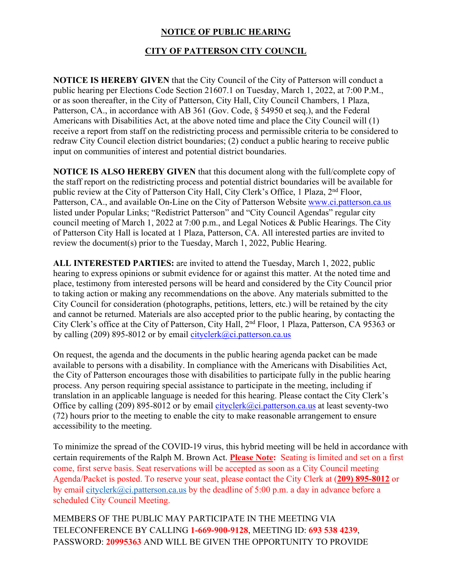## **NOTICE OF PUBLIC HEARING**

## **CITY OF PATTERSON CITY COUNCIL**

**NOTICE IS HEREBY GIVEN** that the City Council of the City of Patterson will conduct a public hearing per Elections Code Section 21607.1 on Tuesday, March 1, 2022, at 7:00 P.M., or as soon thereafter, in the City of Patterson, City Hall, City Council Chambers, 1 Plaza, Patterson, CA., in accordance with AB 361 (Gov. Code, § 54950 et seq.), and the Federal Americans with Disabilities Act, at the above noted time and place the City Council will (1) receive a report from staff on the redistricting process and permissible criteria to be considered to redraw City Council election district boundaries; (2) conduct a public hearing to receive public input on communities of interest and potential district boundaries.

**NOTICE IS ALSO HEREBY GIVEN** that this document along with the full/complete copy of the staff report on the redistricting process and potential district boundaries will be available for public review at the City of Patterson City Hall, City Clerk's Office, 1 Plaza, 2<sup>nd</sup> Floor, Patterson, CA., and available On-Line on the City of Patterson Website www.ci.patterson.ca.us listed under Popular Links; "Redistrict Patterson" and "City Council Agendas" regular city council meeting of March 1, 2022 at 7:00 p.m., and Legal Notices & Public Hearings. The City of Patterson City Hall is located at 1 Plaza, Patterson, CA. All interested parties are invited to review the document(s) prior to the Tuesday, March 1, 2022, Public Hearing.

**ALL INTERESTED PARTIES:** are invited to attend the Tuesday, March 1, 2022, public hearing to express opinions or submit evidence for or against this matter. At the noted time and place, testimony from interested persons will be heard and considered by the City Council prior to taking action or making any recommendations on the above. Any materials submitted to the City Council for consideration (photographs, petitions, letters, etc.) will be retained by the city and cannot be returned. Materials are also accepted prior to the public hearing, by contacting the City Clerk's office at the City of Patterson, City Hall, 2nd Floor, 1 Plaza, Patterson, CA 95363 or by calling (209) 895-8012 or by email cityclerk@ci.patterson.ca.us

On request, the agenda and the documents in the public hearing agenda packet can be made available to persons with a disability. In compliance with the Americans with Disabilities Act, the City of Patterson encourages those with disabilities to participate fully in the public hearing process. Any person requiring special assistance to participate in the meeting, including if translation in an applicable language is needed for this hearing. Please contact the City Clerk's Office by calling (209) 895-8012 or by email cityclerk@ci.patterson.ca.us at least seventy-two (72) hours prior to the meeting to enable the city to make reasonable arrangement to ensure accessibility to the meeting.

To minimize the spread of the COVID-19 virus, this hybrid meeting will be held in accordance with certain requirements of the Ralph M. Brown Act. **Please Note:** Seating is limited and set on a first come, first serve basis. Seat reservations will be accepted as soon as a City Council meeting Agenda/Packet is posted. To reserve your seat, please contact the City Clerk at (**209) 895-8012** or by email cityclerk@ci.patterson.ca.us by the deadline of 5:00 p.m. a day in advance before a scheduled City Council Meeting.

MEMBERS OF THE PUBLIC MAY PARTICIPATE IN THE MEETING VIA TELECONFERENCE BY CALLING **1-669-900-9128**, MEETING ID: **693 538 4239**, PASSWORD: **20995363** AND WILL BE GIVEN THE OPPORTUNITY TO PROVIDE